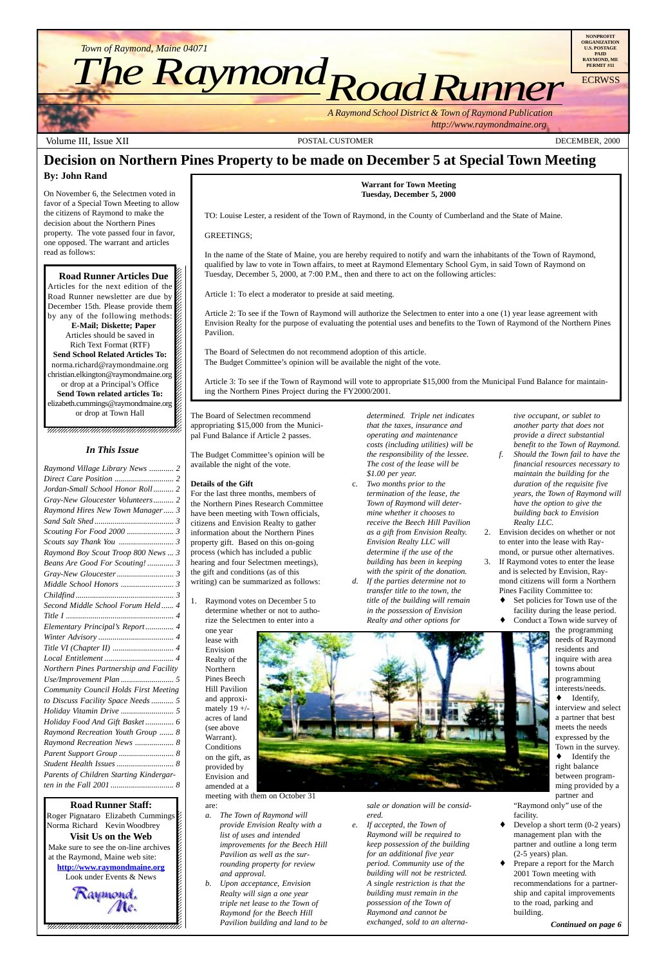12345678901234567890123456789012123456789012345678  $1235678901234567890123456789012345678901234567890123456789012345678901234567890123456789012345678901234567890123456789012345678901234567890123456789012345678901234567890123456789012345678901234567890123456789012345678901$ 

 $1235678901234567890123456789012345678901234567890123456789012345678901234567890123456789012345678901234567890123456789012345678901234567890123456789012345678901234567890123456789012345678901234567890123456789012345678901$ **Road Runner Articles Due**  $\blacksquare$ Articles for the next edition of the  $\%$ Road Runner newsletter are due by  $\%$ 12345678901234567890123456789012123456789012345678 December 15th. Please provide them  $\%$ by any of the following methods: **E-Mail; Diskette; Paper**  $1235678901234567890123456789012345678901234567890123456789012345678901234567890123456789012345678901234567890123456789012345678901234567890123456789012345678901234567890123456789012345678901234567890123456789012345678901$ Articles should be saved in  $\%$  $1235678901234567890123456789012345678901234567890123456789012345678901234567890123456789012345678901234567890123456789012345678901234567890123456789012345678901234567890123456789012345678901234567890123456789012345678901$ Rich Text Format (RTF)  $\blacksquare$ **Send School Related Articles To:** norma.richard@raymondmaine.org 12345678901234567890123456789012123456789012345678 christian.elkington@raymondmaine.org or drop at a Principal's Office  $\mathscr{L}$ 12345678901234567890123456789012123456789012345678 **Send Town related articles To:** elizabeth.cummings@raymondmaine.org or drop at Town Hall  $\blacksquare$ 

 $18.8$  8  $18.8$  8  $18.8$  8  $18.8$  8  $18.8$  8  $18.8$  8  $18.8$  8  $18.8$  8  $18.8$  8  $18.8$  8  $18.8$  8  $18.8$  8  $18.8$  8  $18.8$  8  $18.8$  8  $18.8$  8  $18.8$  8  $18.8$  8  $18.8$  8  $18.8$  8  $18.8$  8  $18.8$  8  $18.8$  8  $18.8$  8  $18.8$ 12345678901234567890123456789012123456789012345678 12345678901234567890123456789012123456789012345678  $18.8$  8  $18.8$  8  $18.8$  8  $18.8$  8  $18.8$  8  $18.8$  8  $18.8$  8  $18.8$  8  $18.8$  8  $18.8$  8  $18.8$  8  $18.8$  8  $18.8$  8  $18.8$  8  $18.8$  8  $18.8$  8  $18.8$  8  $18.8$  8  $18.8$  8  $18.8$  8  $18.8$  8  $18.8$  8  $18.8$  8  $18.8$  8  $18.8$ 12345678901234567890123456789012123456789012345678 12345678901234567890123456789012123456789012345678 12345678901234567890123456789012123456789012345678 12345678901234567890123456789012123456789012345678 12345678901234567890123456789012123456789012345678



Volume III, Issue XII **POSTAL CUSTOMER** POSTAL CUSTOMER DECEMBER, 2000

12345678901234567890123456789012345678901234567890123456789012345678901234567890123456789012345678901234567890 Roger Pignataro Elizabeth Cummings Norma Richard Kevin Woodbrey **&**  $\blacksquare$ **Visit Us on the Web** 12345678901234567890123456789012123456789012345678 Make sure to see the on-line archives  $\mathcal{L}$ 12345678901234567890123456789012123456789012345678 at the Raymond, Maine web site:  $\mathcal{L}$ **http://www.raymondmaine.org** 1234<del>56789012345678901234567890</del> Look under Events & News 12345678901234567890123456789012123456789012345678 1 8 Raymond. **Road Runner Staff:**

 $\blacklozenge$  Develop a short term (0-2 years) management plan with the partner and outline a long term (2-5 years) plan.

Prepare a report for the March 2001 Town meeting with recommendations for a partnership and capital improvements to the road, parking and building.

# **Decision on Northern Pines Property to be made on December 5 at Special Town Meeting**

## **By: John Rand**

On November 6, the Selectmen voted in favor of a Special Town Meeting to allow the citizens of Raymond to make the decision about the Northern Pines property. The vote passed four in favor, one opposed. The warrant and articles read as follows:

**Warrant for Town Meeting Tuesday, December 5, 2000**

TO: Louise Lester, a resident of the Town of Raymond, in the County of Cumberland and the State of Maine.

GREETINGS;

In the name of the State of Maine, you are hereby required to notify and warn the inhabitants of the Town of Raymond, qualified by law to vote in Town affairs, to meet at Raymond Elementary School Gym, in said Town of Raymond on Tuesday, December 5, 2000, at 7:00 P.M., then and there to act on the following articles:

Article 1: To elect a moderator to preside at said meeting.

Article 2: To see if the Town of Raymond will authorize the Selectmen to enter into a one (1) year lease agreement with Envision Realty for the purpose of evaluating the potential uses and benefits to the Town of Raymond of the Northern Pines Pavilion.

The Board of Selectmen do not recommend adoption of this article. The Budget Committee's opinion will be available the night of the vote.

Article 3: To see if the Town of Raymond will vote to appropriate \$15,000 from the Municipal Fund Balance for maintaining the Northern Pines Project during the FY2000/2001.

The Board of Selectmen recommend appropriating \$15,000 from the Municipal Fund Balance if Article 2 passes.

The Budget Committee's opinion will be available the night of the vote.

## **Details of the Gift**

For the last three months, members of the Northern Pines Research Committee have been meeting with Town officials, citizens and Envision Realty to gather information about the Northern Pines property gift. Based on this on-going process (which has included a public hearing and four Selectmen meetings), the gift and conditions (as of this writing) can be summarized as follows:

1. Raymond votes on December 5 to determine whether or not to authorize the Selectmen to enter into a

one year lease with Envision Realty of the Northern Pines Beech Hill Pavilion and approximately  $19 +/$ acres of land (see above

Warrant). Conditions on the gift, as provided by Envision and amended at a meeting with them on October 31

#### are:

- *a. The Town of Raymond will provide Envision Realty with a list of uses and intended improvements for the Beech Hill Pavilion as well as the surrounding property for review and approval.*
- *b. Upon acceptance, Envision Realty will sign a one year triple net lease to the Town of Raymond for the Beech Hill Pavilion building and land to be*

*determined. Triple net indicates that the taxes, insurance and operating and maintenance costs (including utilities) will be the responsibility of the lessee. The cost of the lease will be \$1.00 per year.*

- c. *Two months prior to the termination of the lease, the Town of Raymond will determine whether it chooses to receive the Beech Hill Pavilion as a gift from Envision Realty. Envision Realty LLC will determine if the use of the building has been in keeping with the spirit of the donation.*
- *d. If the parties determine not to transfer title to the town, the title of the building will remain in the possession of Envision Realty and other options for*



*sale or donation will be considered.*

*e. If accepted, the Town of Raymond will be required to keep possession of the building for an additional five year period. Community use of the building will not be restricted. A single restriction is that the building must remain in the possession of the Town of Raymond and cannot be exchanged, sold to an alterna-* *tive occupant, or sublet to another party that does not provide a direct substantial benefit to the Town of Raymond.*

- *f. Should the Town fail to have the financial resources necessary to maintain the building for the duration of the requisite five years, the Town of Raymond will have the option to give the building back to Envision Realty LLC.*
- 2. Envision decides on whether or not to enter into the lease with Raymond, or pursue other alternatives.
- 3. If Raymond votes to enter the lease and is selected by Envision, Raymond citizens will form a Northern Pines Facility Committee to:
	- Set policies for Town use of the facility during the lease period.
	- ♦ Conduct a Town wide survey of

the programming needs of Raymond residents and inquire with area towns about programming interests/needs.

♦ Identify, interview and select a partner that best meets the needs

expressed by the Town in the survey. ♦ Identify the right balance between programming provided by a partner and "Raymond only" use of the

facility.

*Continued on page 6*

| Raymond Village Library News  2         |
|-----------------------------------------|
|                                         |
| Jordan-Small School Honor Roll 2        |
| Gray-New Gloucester Volunteers 2        |
| Raymond Hires New Town Manager 3        |
|                                         |
|                                         |
|                                         |
| Raymond Boy Scout Troop 800 News  3     |
| Beans Are Good For Scouting! 3          |
|                                         |
|                                         |
|                                         |
| Second Middle School Forum Held 4       |
|                                         |
| Elementary Principal's Report 4         |
|                                         |
|                                         |
|                                         |
| Northern Pines Partnership and Facility |
|                                         |
| Community Council Holds First Meeting   |
| to Discuss Facility Space Needs 5       |
|                                         |
| Holiday Food And Gift Basket 6          |
| Raymond Recreation Youth Group  8       |
| Raymond Recreation News  8              |
|                                         |
|                                         |
| Parents of Children Starting Kindergar- |
|                                         |
|                                         |

## *In This Issue*

 $1235678901234587890123456789012345678901234567890123456789012345678901234567890123456789012345678901234567890123456789012345678901234567890123456789012345678901234567890123456789012345678901234567890123456789012345678901$  $1235678901234587890123456789012345678901234567890123456789012345678901234567890123456789012345678901234567890123456789012345678901234567890123456789012345678901234567890123456789012345678901234567890123456789012345678901$ 123456789012345678901234567890123456781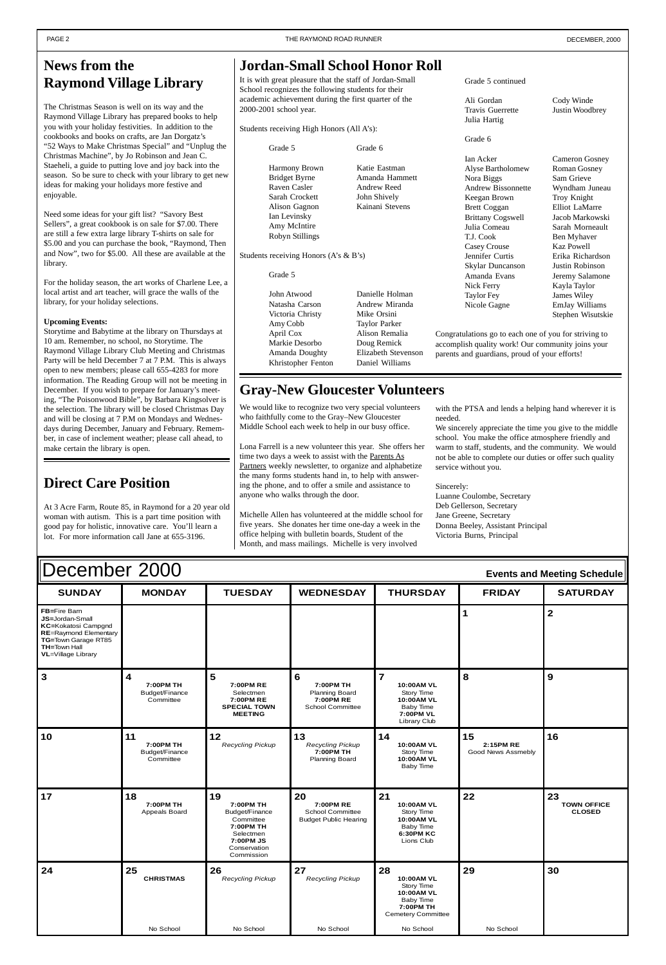| December 2000<br><b>Events and Meeting Schedule</b>                                                                                                                |                                                |                                                                                                                     |                                                                                 |                                                                                                            |                                       |                                           |  |  |  |
|--------------------------------------------------------------------------------------------------------------------------------------------------------------------|------------------------------------------------|---------------------------------------------------------------------------------------------------------------------|---------------------------------------------------------------------------------|------------------------------------------------------------------------------------------------------------|---------------------------------------|-------------------------------------------|--|--|--|
| <b>SUNDAY</b>                                                                                                                                                      | <b>MONDAY</b>                                  | <b>TUESDAY</b>                                                                                                      | <b>WEDNESDAY</b>                                                                | <b>THURSDAY</b>                                                                                            | <b>FRIDAY</b>                         | <b>SATURDAY</b>                           |  |  |  |
| FB=Fire Barn<br>JS=Jordan-Small<br><b>KC=Kokatosi Campgnd</b><br><b>RE=Raymond Elementary</b><br>TG=Town Garage RT85<br>TH=Town Hall<br><b>VL</b> =Village Library |                                                |                                                                                                                     |                                                                                 |                                                                                                            | 1                                     | $\overline{\mathbf{2}}$                   |  |  |  |
| $\mathbf{3}$                                                                                                                                                       | 4<br>7:00PM TH<br>Budget/Finance<br>Committee  | 5<br>7:00PM RE<br>Selectmen<br>7:00PM RE<br><b>SPECIAL TOWN</b><br><b>MEETING</b>                                   | 6<br>7:00PM TH<br><b>Planning Board</b><br>7:00PM RE<br><b>School Committee</b> | $\overline{7}$<br>10:00AM VL<br>Story Time<br>10:00AM VL<br><b>Baby Time</b><br>7:00PM VL<br>Library Club  | 8                                     | 9                                         |  |  |  |
| 10                                                                                                                                                                 | 11<br>7:00PM TH<br>Budget/Finance<br>Committee | 12<br><b>Recycling Pickup</b>                                                                                       | 13<br>Recycling Pickup<br>7:00PM TH<br><b>Planning Board</b>                    | 14<br>10:00AM VL<br>Story Time<br>10:00AM VL<br><b>Baby Time</b>                                           | 15<br>2:15PM RE<br>Good News Assmebly | 16                                        |  |  |  |
| 17                                                                                                                                                                 | 18<br>7:00PM TH<br>Appeals Board               | 19<br>7:00PM TH<br>Budget/Finance<br>Committee<br>7:00PM TH<br>Selectmen<br>7:00PM JS<br>Conservation<br>Commission | 20<br>7:00PM RE<br><b>School Committee</b><br><b>Budget Public Hearing</b>      | 21<br>10:00AM VL<br>Story Time<br>10:00AM VL<br><b>Baby Time</b><br>6:30PM KC<br>Lions Club                | 22                                    | 23<br><b>TOWN OFFICE</b><br><b>CLOSED</b> |  |  |  |
| 24                                                                                                                                                                 | 25<br><b>CHRISTMAS</b>                         | 26<br>Recycling Pickup                                                                                              | 27<br>Recycling Pickup                                                          | 28<br>10:00AM VL<br>Story Time<br>10:00AM VL<br><b>Baby Time</b><br>7:00PM TH<br><b>Cemetery Committee</b> | 29                                    | 30                                        |  |  |  |
|                                                                                                                                                                    | No School                                      | No School                                                                                                           | No School                                                                       | No School                                                                                                  | No School                             |                                           |  |  |  |

# <span id="page-1-0"></span>**News from the Raymond Village Library**

The Christmas Season is well on its way and the Raymond Village Library has prepared books to help you with your holiday festivities. In addition to the cookbooks and books on crafts, are Jan Dorgatz's "52 Ways to Make Christmas Special" and "Unplug the Christmas Machine", by Jo Robinson and Jean C. Staeheli, a guide to putting love and joy back into the season. So be sure to check with your library to get new ideas for making your holidays more festive and enjoyable.

Grade 5 Grade 6 Harmony Brown Katie Eastman Bridget Byrne Amanda Hammett Raven Casler **Andrew Reed** Sarah Crockett John Shively Alison Gagnon Kainani Stevens Ian Levinsky Amy McIntire Robyn Stillings

Need some ideas for your gift list? "Savory Best Sellers", a great cookbook is on sale for \$7.00. There are still a few extra large library T-shirts on sale for \$5.00 and you can purchase the book, "Raymond, Then and Now", two for \$5.00. All these are available at the library.

For the holiday season, the art works of Charlene Lee, a local artist and art teacher, will grace the walls of the library, for your holiday selections.

### **Upcoming Events:**

We would like to recognize two very special volunteers who faithfully come to the Gray–New Gloucester Middle School each week to help in our busy office.

Storytime and Babytime at the library on Thursdays at 10 am. Remember, no school, no Storytime. The Raymond Village Library Club Meeting and Christmas Party will be held December 7 at 7 P.M. This is always open to new members; please call 655-4283 for more information. The Reading Group will not be meeting in December. If you wish to prepare for January's meeting, "The Poisonwood Bible", by Barbara Kingsolver is the selection. The library will be closed Christmas Day and will be closing at 7 P.M on Mondays and Wednesdays during December, January and February. Remember, in case of inclement weather; please call ahead, to make certain the library is open.

# **Jordan-Small School Honor Roll**

It is with great pleasure that the staff of Jordan-Small School recognizes the following students for their academic achievement during the first quarter of the 2000-2001 school year.

Students receiving High Honors (All A's):

Students receiving Honors (A's & B's)

Grade 5

John Atwood Danielle Holman Natasha Carson Andrew Miranda Victoria Christy Mike Orsini Amy Cobb Taylor Parker April Cox Alison Remalia Markie Desorbo Doug Remick Amanda Doughty Elizabeth Stevenson Khristopher Fenton Daniel Williams

Grade 5 continued

Ali Gordan Cody Winde Travis Guerrette Justin Woodbrey Julia Hartig

## Grade 6

Ian Acker Cameron Gosney Alyse Bartholomew Roman Gosney Nora Biggs Sam Grieve Andrew Bissonnette Wyndham Juneau Keegan Brown Troy Knight Brett Coggan Elliot LaMarre Brittany Cogswell Jacob Markowski Julia Comeau Sarah Morneault T.J. Cook Ben Myhaver Casey Crouse Kaz Powell Jennifer Curtis Erika Richardson Skylar Duncanson Justin Robinson Amanda Evans Jeremy Salamone Nick Ferry Kayla Taylor Taylor Fey James Wiley Nicole Gagne EmJay Williams

Stephen Wisutskie

Congratulations go to each one of you for striving to accomplish quality work! Our community joins your parents and guardians, proud of your efforts!

# **Gray-New Gloucester Volunteers**

Lona Farrell is a new volunteer this year. She offers her time two days a week to assist with the Parents As Partners weekly newsletter, to organize and alphabetize the many forms students hand in, to help with answering the phone, and to offer a smile and assistance to anyone who walks through the door.

Michelle Allen has volunteered at the middle school for five years. She donates her time one-day a week in the office helping with bulletin boards, Student of the Month, and mass mailings. Michelle is very involved

with the PTSA and lends a helping hand wherever it is needed.

We sincerely appreciate the time you give to the middle school. You make the office atmosphere friendly and warm to staff, students, and the community. We would not be able to complete our duties or offer such quality service without you.

## Sincerely:

Luanne Coulombe, Secretary Deb Gellerson, Secretary Jane Greene, Secretary Donna Beeley, Assistant Principal Victoria Burns, Principal

# **Direct Care Position**

At 3 Acre Farm, Route 85, in Raymond for a 20 year old woman with autism. This is a part time position with good pay for holistic, innovative care. You'll learn a lot. For more information call Jane at 655-3196.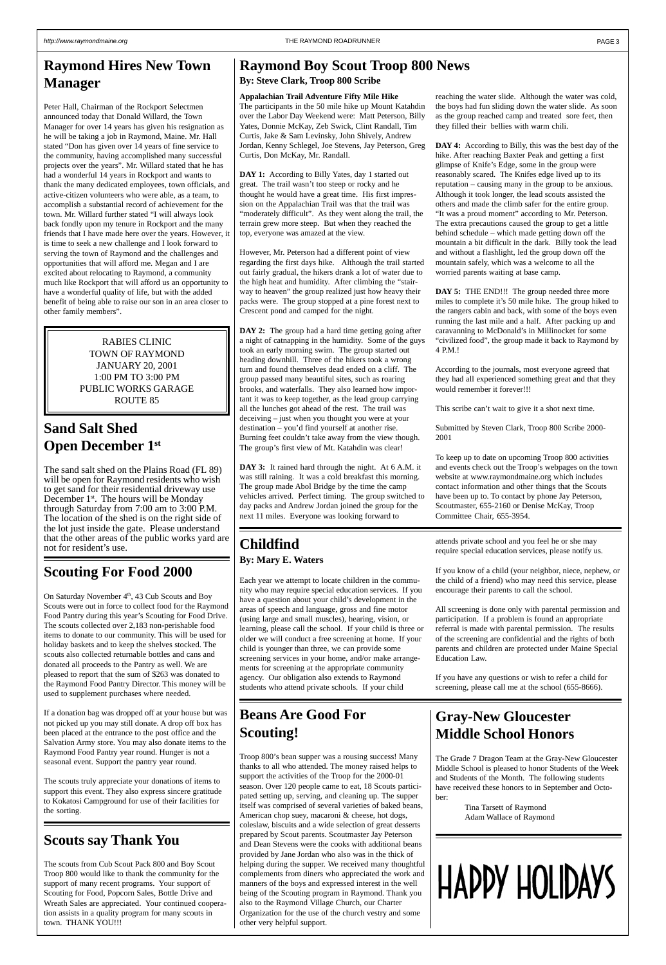# <span id="page-2-0"></span>**Raymond Hires New Town Manager**

Peter Hall, Chairman of the Rockport Selectmen announced today that Donald Willard, the Town Manager for over 14 years has given his resignation as he will be taking a job in Raymond, Maine. Mr. Hall stated "Don has given over 14 years of fine service to the community, having accomplished many successful projects over the years". Mr. Willard stated that he has had a wonderful 14 years in Rockport and wants to thank the many dedicated employees, town officials, and active-citizen volunteers who were able, as a team, to accomplish a substantial record of achievement for the town. Mr. Willard further stated "I will always look back fondly upon my tenure in Rockport and the many friends that I have made here over the years. However, it is time to seek a new challenge and I look forward to serving the town of Raymond and the challenges and opportunities that will afford me. Megan and I are excited about relocating to Raymond, a community much like Rockport that will afford us an opportunity to have a wonderful quality of life, but with the added benefit of being able to raise our son in an area closer to other family members".

On Saturday November 4<sup>th</sup>, 43 Cub Scouts and Boy Scouts were out in force to collect food for the Raymond Food Pantry during this year's Scouting for Food Drive. The scouts collected over 2,183 non-perishable food items to donate to our community. This will be used for holiday baskets and to keep the shelves stocked. The scouts also collected returnable bottles and cans and donated all proceeds to the Pantry as well. We are pleased to report that the sum of \$263 was donated to the Raymond Food Pantry Director. This money will be used to supplement purchases where needed.

# **Sand Salt Shed Open December 1st**

The sand salt shed on the Plains Road (FL 89) will be open for Raymond residents who wish to get sand for their residential driveway use December  $1^{st}$ . The hours will be Monday through Saturday from 7:00 am to 3:00 P.M. The location of the shed is on the right side of the lot just inside the gate. Please understand that the other areas of the public works yard are not for resident's use.

# **Scouting For Food 2000**

DAY 1: According to Billy Yates, day 1 started out great. The trail wasn't too steep or rocky and he thought he would have a great time. His first impression on the Appalachian Trail was that the trail was "moderately difficult". As they went along the trail, the terrain grew more steep. But when they reached the top, everyone was amazed at the view.

If a donation bag was dropped off at your house but was not picked up you may still donate. A drop off box has

been placed at the entrance to the post office and the Salvation Army store. You may also donate items to the Raymond Food Pantry year round. Hunger is not a seasonal event. Support the pantry year round.

**DAY 2:** The group had a hard time getting going after a night of catnapping in the humidity. Some of the guys took an early morning swim. The group started out heading downhill. Three of the hikers took a wrong turn and found themselves dead ended on a cliff. The group passed many beautiful sites, such as roaring brooks, and waterfalls. They also learned how important it was to keep together, as the lead group carrying all the lunches got ahead of the rest. The trail was deceiving – just when you thought you were at your destination – you'd find yourself at another rise. Burning feet couldn't take away from the view though. The group's first view of Mt. Katahdin was clear!

The scouts truly appreciate your donations of items to support this event. They also express sincere gratitude to Kokatosi Campground for use of their facilities for the sorting.

# **Scouts say Thank You**

The scouts from Cub Scout Pack 800 and Boy Scout Troop 800 would like to thank the community for the support of many recent programs. Your support of Scouting for Food, Popcorn Sales, Bottle Drive and Wreath Sales are appreciated. Your continued cooperation assists in a quality program for many scouts in town. THANK YOU!!!

RABIES CLINIC TOWN OF RAYMOND JANUARY 20, 2001 1:00 PM TO 3:00 PM PUBLIC WORKS GARAGE ROUTE 85

## **Raymond Boy Scout Troop 800 News By: Steve Clark, Troop 800 Scribe**

## **Appalachian Trail Adventure Fifty Mile Hike**

**DAY 5:** THE END!!! The group needed three more miles to complete it's 50 mile hike. The group hiked to the rangers cabin and back, with some of the boys even running the last mile and a half. After packing up and caravanning to McDonald's in Millinocket for some "civilized food", the group made it back to Raymond by 4 P.M.!

The participants in the 50 mile hike up Mount Katahdin over the Labor Day Weekend were: Matt Peterson, Billy Yates, Donnie McKay, Zeb Swick, Clint Randall, Tim Curtis, Jake & Sam Levinsky, John Shively, Andrew Jordan, Kenny Schlegel, Joe Stevens, Jay Peterson, Greg Curtis, Don McKay, Mr. Randall.

However, Mr. Peterson had a different point of view regarding the first days hike. Although the trail started out fairly gradual, the hikers drank a lot of water due to the high heat and humidity. After climbing the "stairway to heaven" the group realized just how heavy their packs were. The group stopped at a pine forest next to Crescent pond and camped for the night.

**DAY 3:** It rained hard through the night. At 6 A.M. it was still raining. It was a cold breakfast this morning. The group made Abol Bridge by the time the camp vehicles arrived. Perfect timing. The group switched to day packs and Andrew Jordan joined the group for the next 11 miles. Everyone was looking forward to

## reaching the water slide. Although the water was cold, the boys had fun sliding down the water slide. As soon as the group reached camp and treated sore feet, then they filled their bellies with warm chili.

**DAY 4:** According to Billy, this was the best day of the hike. After reaching Baxter Peak and getting a first glimpse of Knife's Edge, some in the group were reasonably scared. The Knifes edge lived up to its reputation – causing many in the group to be anxious. Although it took longer, the lead scouts assisted the others and made the climb safer for the entire group. "It was a proud moment" according to Mr. Peterson. The extra precautions caused the group to get a little behind schedule – which made getting down off the mountain a bit difficult in the dark. Billy took the lead and without a flashlight, led the group down off the mountain safely, which was a welcome to all the worried parents waiting at base camp.

According to the journals, most everyone agreed that they had all experienced something great and that they would remember it forever!!!

This scribe can't wait to give it a shot next time.

Submitted by Steven Clark, Troop 800 Scribe 2000- 2001

To keep up to date on upcoming Troop 800 activities and events check out the Troop's webpages on the town website at www.raymondmaine.org which includes contact information and other things that the Scouts have been up to. To contact by phone Jay Peterson, Scoutmaster, 655-2160 or Denise McKay, Troop Committee Chair, 655-3954.

# **Childfind**

## **By: Mary E. Waters**

Each year we attempt to locate children in the community who may require special education services. If you have a question about your child's development in the areas of speech and language, gross and fine motor (using large and small muscles), hearing, vision, or learning, please call the school. If your child is three or older we will conduct a free screening at home. If your child is younger than three, we can provide some screening services in your home, and/or make arrangements for screening at the appropriate community agency. Our obligation also extends to Raymond students who attend private schools. If your child

attends private school and you feel he or she may require special education services, please notify us.

If you know of a child (your neighbor, niece, nephew, or the child of a friend) who may need this service, please encourage their parents to call the school.

All screening is done only with parental permission and participation. If a problem is found an appropriate referral is made with parental permission. The results of the screening are confidential and the rights of both parents and children are protected under Maine Special Education Law.

If you have any questions or wish to refer a child for screening, please call me at the school (655-8666).

# **Beans Are Good For Scouting!**

Troop 800's bean supper was a rousing success! Many thanks to all who attended. The money raised helps to support the activities of the Troop for the 2000-01 season. Over 120 people came to eat, 18 Scouts participated setting up, serving, and cleaning up. The supper itself was comprised of several varieties of baked beans, American chop suey, macaroni & cheese, hot dogs, coleslaw, biscuits and a wide selection of great desserts prepared by Scout parents. Scoutmaster Jay Peterson and Dean Stevens were the cooks with additional beans provided by Jane Jordan who also was in the thick of helping during the supper. We received many thoughtful complements from diners who appreciated the work and manners of the boys and expressed interest in the well being of the Scouting program in Raymond. Thank you also to the Raymond Village Church, our Charter Organization for the use of the church vestry and some other very helpful support.

**Gray-New Gloucester**

## **Middle School Honors**

The Grade 7 Dragon Team at the Gray-New Gloucester Middle School is pleased to honor Students of the Week and Students of the Month. The following students have received these honors to in September and October:

> Tina Tarsett of Raymond Adam Wallace of Raymond

# **HAPPY HOLIDAYS**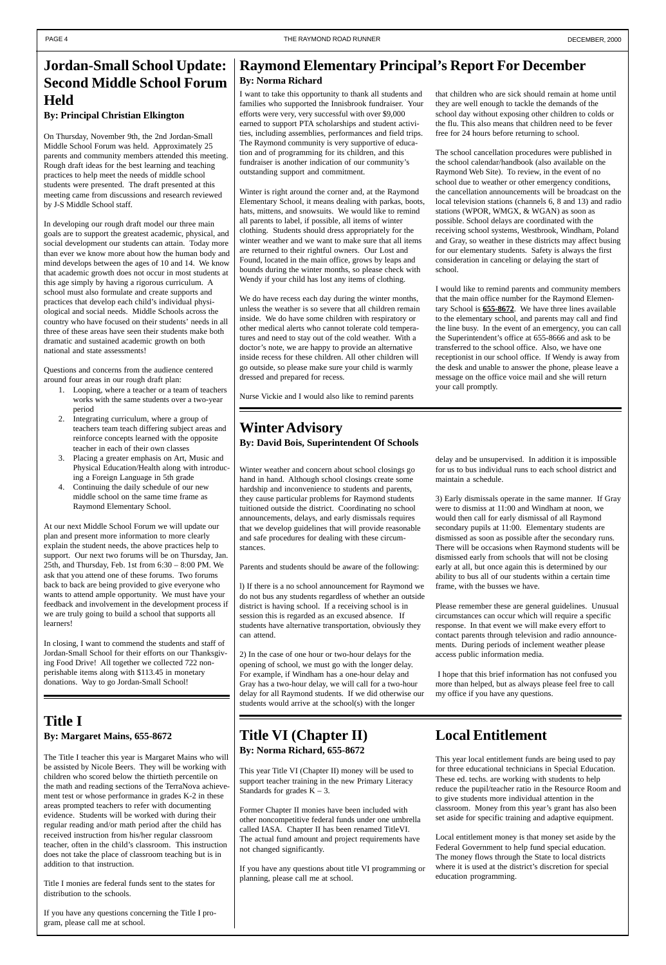# <span id="page-3-0"></span>**Jordan-Small School Update: Second Middle School Forum Held**

## **By: Principal Christian Elkington**

On Thursday, November 9th, the 2nd Jordan-Small Middle School Forum was held. Approximately 25 parents and community members attended this meeting. Rough draft ideas for the best learning and teaching practices to help meet the needs of middle school students were presented. The draft presented at this meeting came from discussions and research reviewed by J-S Middle School staff.

In developing our rough draft model our three main goals are to support the greatest academic, physical, and social development our students can attain. Today more than ever we know more about how the human body and mind develops between the ages of 10 and 14. We know that academic growth does not occur in most students at this age simply by having a rigorous curriculum. A school must also formulate and create supports and practices that develop each child's individual physiological and social needs. Middle Schools across the country who have focused on their students' needs in all three of these areas have seen their students make both dramatic and sustained academic growth on both national and state assessments!

Questions and concerns from the audience centered around four areas in our rough draft plan:

- 1. Looping, where a teacher or a team of teachers works with the same students over a two-year period
- 2. Integrating curriculum, where a group of teachers team teach differing subject areas and reinforce concepts learned with the opposite teacher in each of their own classes
- 3. Placing a greater emphasis on Art, Music and Physical Education/Health along with introducing a Foreign Language in 5th grade
- 4. Continuing the daily schedule of our new middle school on the same time frame as Raymond Elementary School.

At our next Middle School Forum we will update our plan and present more information to more clearly explain the student needs, the above practices help to support. Our next two forums will be on Thursday, Jan. 25th, and Thursday, Feb. 1st from 6:30 – 8:00 PM. We ask that you attend one of these forums. Two forums back to back are being provided to give everyone who wants to attend ample opportunity. We must have your feedback and involvement in the development process if we are truly going to build a school that supports all learners!

In closing, I want to commend the students and staff of Jordan-Small School for their efforts on our Thanksgiving Food Drive! All together we collected 722 nonperishable items along with \$113.45 in monetary donations. Way to go Jordan-Small School!

## **Raymond Elementary Principal's Report For December By: Norma Richard**

I want to take this opportunity to thank all students and families who supported the Innisbrook fundraiser. Your efforts were very, very successful with over \$9,000 earned to support PTA scholarships and student activities, including assemblies, performances and field trips. The Raymond community is very supportive of education and of programming for its children, and this fundraiser is another indication of our community's outstanding support and commitment.

Winter is right around the corner and, at the Raymond Elementary School, it means dealing with parkas, boots, hats, mittens, and snowsuits. We would like to remind all parents to label, if possible, all items of winter clothing. Students should dress appropriately for the winter weather and we want to make sure that all items are returned to their rightful owners. Our Lost and Found, located in the main office, grows by leaps and bounds during the winter months, so please check with Wendy if your child has lost any items of clothing.

We do have recess each day during the winter months, unless the weather is so severe that all children remain inside. We do have some children with respiratory or other medical alerts who cannot tolerate cold temperatures and need to stay out of the cold weather. With a doctor's note, we are happy to provide an alternative inside recess for these children. All other children will go outside, so please make sure your child is warmly dressed and prepared for recess.

Nurse Vickie and I would also like to remind parents

that children who are sick should remain at home until they are well enough to tackle the demands of the school day without exposing other children to colds or the flu. This also means that children need to be fever free for 24 hours before returning to school.

This year Title VI (Chapter II) money will be used to support teacher training in the new Primary Literacy Standards for grades  $K - 3$ .

The school cancellation procedures were published in the school calendar/handbook (also available on the Raymond Web Site). To review, in the event of no school due to weather or other emergency conditions, the cancellation announcements will be broadcast on the local television stations (channels 6, 8 and 13) and radio stations (WPOR, WMGX, & WGAN) as soon as possible. School delays are coordinated with the receiving school systems, Westbrook, Windham, Poland and Gray, so weather in these districts may affect busing for our elementary students. Safety is always the first consideration in canceling or delaying the start of school.

I would like to remind parents and community members that the main office number for the Raymond Elementary School is **655-8672**. We have three lines available to the elementary school, and parents may call and find the line busy. In the event of an emergency, you can call the Superintendent's office at 655-8666 and ask to be transferred to the school office. Also, we have one receptionist in our school office. If Wendy is away from the desk and unable to answer the phone, please leave a message on the office voice mail and she will return your call promptly.

## **Winter Advisory By: David Bois, Superintendent Of Schools**

Winter weather and concern about school closings go hand in hand. Although school closings create some hardship and inconvenience to students and parents, they cause particular problems for Raymond students tuitioned outside the district. Coordinating no school announcements, delays, and early dismissals requires that we develop guidelines that will provide reasonable and safe procedures for dealing with these circumstances.

Parents and students should be aware of the following:

l) If there is a no school announcement for Raymond we do not bus any students regardless of whether an outside district is having school. If a receiving school is in session this is regarded as an excused absence. If students have alternative transportation, obviously they can attend.

2) In the case of one hour or two-hour delays for the opening of school, we must go with the longer delay. For example, if Windham has a one-hour delay and Gray has a two-hour delay, we will call for a two-hour delay for all Raymond students. If we did otherwise our students would arrive at the school(s) with the longer

delay and be unsupervised. In addition it is impossible for us to bus individual runs to each school district and maintain a schedule.

3) Early dismissals operate in the same manner. If Gray were to dismiss at 11:00 and Windham at noon, we would then call for early dismissal of all Raymond secondary pupils at 11:00. Elementary students are dismissed as soon as possible after the secondary runs. There will be occasions when Raymond students will be dismissed early from schools that will not be closing early at all, but once again this is determined by our ability to bus all of our students within a certain time frame, with the busses we have.

Please remember these are general guidelines. Unusual circumstances can occur which will require a specific response. In that event we will make every effort to contact parents through television and radio announcements. During periods of inclement weather please access public information media.

 I hope that this brief information has not confused you more than helped, but as always please feel free to call my office if you have any questions.

## **Local Entitlement**

This year local entitlement funds are being used to pay for three educational technicians in Special Education. These ed. techs. are working with students to help reduce the pupil/teacher ratio in the Resource Room and to give students more individual attention in the classroom. Money from this year's grant has also been set aside for specific training and adaptive equipment.

Local entitlement money is that money set aside by the Federal Government to help fund special education. The money flows through the State to local districts where it is used at the district's discretion for special education programming.

## **Title I**

## **By: Margaret Mains, 655-8672**

The Title I teacher this year is Margaret Mains who will be assisted by Nicole Beers. They will be working with children who scored below the thirtieth percentile on the math and reading sections of the TerraNova achievement test or whose performance in grades K-2 in these areas prompted teachers to refer with documenting evidence. Students will be worked with during their regular reading and/or math period after the child has received instruction from his/her regular classroom teacher, often in the child's classroom. This instruction does not take the place of classroom teaching but is in addition to that instruction.

Title I monies are federal funds sent to the states for distribution to the schools.

If you have any questions concerning the Title I program, please call me at school.

## **Title VI (Chapter II) By: Norma Richard, 655-8672**

Former Chapter II monies have been included with other noncompetitive federal funds under one umbrella called IASA. Chapter II has been renamed TitleVI. The actual fund amount and project requirements have not changed significantly.

If you have any questions about title VI programming or planning, please call me at school.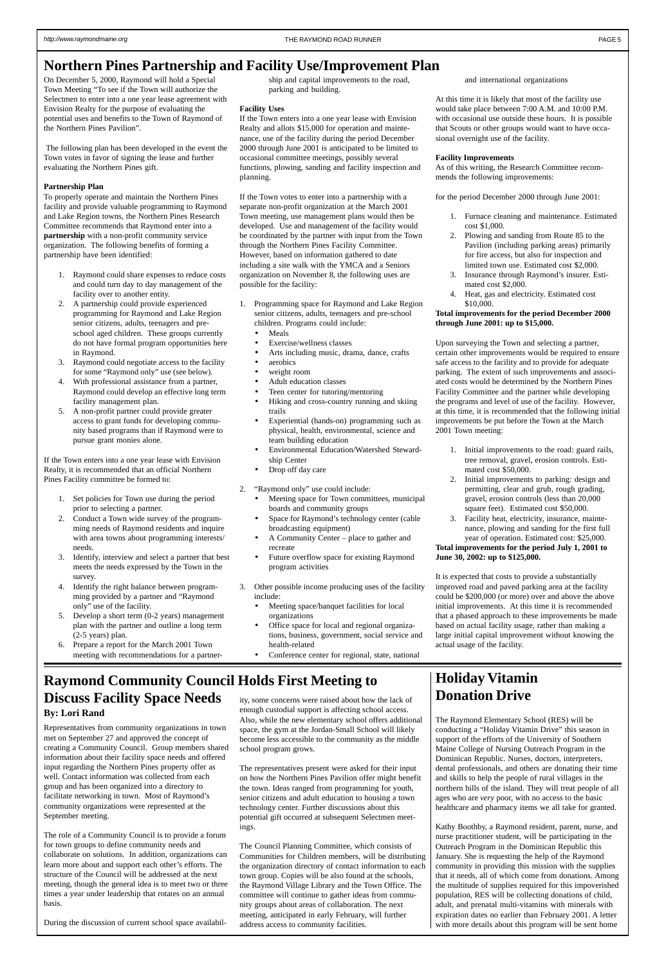# <span id="page-4-0"></span>**Northern Pines Partnership and Facility Use/Improvement Plan**

On December 5, 2000, Raymond will hold a Special Town Meeting "To see if the Town will authorize the Selectmen to enter into a one year lease agreement with Envision Realty for the purpose of evaluating the potential uses and benefits to the Town of Raymond of the Northern Pines Pavilion".

 The following plan has been developed in the event the Town votes in favor of signing the lease and further evaluating the Northern Pines gift.

## **Partnership Plan**

To properly operate and maintain the Northern Pines facility and provide valuable programming to Raymond and Lake Region towns, the Northern Pines Research Committee recommends that Raymond enter into a **partnership** with a non-profit community service organization. The following benefits of forming a partnership have been identified:

- 1. Raymond could share expenses to reduce costs and could turn day to day management of the facility over to another entity.
- 2. A partnership could provide experienced programming for Raymond and Lake Region senior citizens, adults, teenagers and preschool aged children. These groups currently do not have formal program opportunities here in Raymond.
- 3. Raymond could negotiate access to the facility for some "Raymond only" use (see below).
- 4. With professional assistance from a partner, Raymond could develop an effective long term facility management plan.
- 5. A non-profit partner could provide greater access to grant funds for developing community based programs than if Raymond were to pursue grant monies alone.
- 1. Programming space for Raymond and Lake Region senior citizens, adults, teenagers and pre-school children. Programs could include:
	- Meals
	- Exercise/wellness classes
	- Arts including music, drama, dance, crafts
	- aerobics
	- weight room
	- Adult education classes
	- Teen center for tutoring/mentoring • Hiking and cross-country running and skiing trails
	- Experiential (hands-on) programming such as physical, health, environmental, science and team building education
	- Environmental Education/Watershed Stewardship Center
	- Drop off day care
- 2. "Raymond only" use could include:
	- Meeting space for Town committees, municipal boards and community groups
	- Space for Raymond's technology center (cable broadcasting equipment)
	- A Community Center place to gather and recreate
	- Future overflow space for existing Raymond program activities
- 3. Other possible income producing uses of the facility include:
	- Meeting space/banquet facilities for local organizations
	- Office space for local and regional organizations, business, government, social service and health-related
	- Conference center for regional, state, national

If the Town enters into a one year lease with Envision Realty, it is recommended that an official Northern Pines Facility committee be formed to:

- 1. Set policies for Town use during the period prior to selecting a partner.
- 2. Conduct a Town wide survey of the programming needs of Raymond residents and inquire with area towns about programming interests/ needs.
- 3. Identify, interview and select a partner that best meets the needs expressed by the Town in the survey.
- 4. Identify the right balance between programming provided by a partner and "Raymond only" use of the facility.
- 5. Develop a short term (0-2 years) management plan with the partner and outline a long term (2-5 years) plan.
- 6. Prepare a report for the March 2001 Town meeting with recommendations for a partner-

ship and capital improvements to the road, parking and building.

## **Facility Uses**

If the Town enters into a one year lease with Envision Realty and allots \$15,000 for operation and maintenance, use of the facility during the period December 2000 through June 2001 is anticipated to be limited to occasional committee meetings, possibly several functions, plowing, sanding and facility inspection and planning.

If the Town votes to enter into a partnership with a separate non-profit organization at the March 2001 Town meeting, use management plans would then be developed. Use and management of the facility would be coordinated by the partner with input from the Town through the Northern Pines Facility Committee. However, based on information gathered to date including a site walk with the YMCA and a Seniors organization on November 8, the following uses are possible for the facility:

and international organizations

At this time it is likely that most of the facility use would take place between 7:00 A.M. and 10:00 P.M. with occasional use outside these hours. It is possible that Scouts or other groups would want to have occasional overnight use of the facility.

## **Facility Improvements**

As of this writing, the Research Committee recommends the following improvements:

for the period December 2000 through June 2001:

- 1. Furnace cleaning and maintenance. Estimated cost \$1,000.
- 2. Plowing and sanding from Route 85 to the Pavilion (including parking areas) primarily for fire access, but also for inspection and limited town use. Estimated cost \$2,000.
- 3. Insurance through Raymond's insurer. Estimated cost \$2,000.
- 4. Heat, gas and electricity. Estimated cost \$10,000.

## **Total improvements for the period December 2000 through June 2001: up to \$15,000.**

Upon surveying the Town and selecting a partner, certain other improvements would be required to ensure safe access to the facility and to provide for adequate parking. The extent of such improvements and associated costs would be determined by the Northern Pines Facility Committee and the partner while developing the programs and level of use of the facility. However, at this time, it is recommended that the following initial improvements be put before the Town at the March 2001 Town meeting:

- 1. Initial improvements to the road: guard rails, tree removal, gravel, erosion controls. Estimated cost \$50,000.
- 2. Initial improvements to parking: design and permitting, clear and grub, rough grading, gravel, erosion controls (less than 20,000 square feet). Estimated cost \$50,000.
- 3. Facility heat, electricity, insurance, maintenance, plowing and sanding for the first full year of operation. Estimated cost: \$25,000.

## **Total improvements for the period July 1, 2001 to June 30, 2002: up to \$125,000.**

It is expected that costs to provide a substantially improved road and paved parking area at the facility could be \$200,000 (or more) over and above the above initial improvements. At this time it is recommended that a phased approach to these improvements be made based on actual facility usage, rather than making a large initial capital improvement without knowing the actual usage of the facility.

**By: Lori Rand**

Representatives from community organizations in town

met on September 27 and approved the concept of creating a Community Council. Group members shared information about their facility space needs and offered input regarding the Northern Pines property offer as well. Contact information was collected from each group and has been organized into a directory to facilitate networking in town. Most of Raymond's community organizations were represented at the September meeting.

The role of a Community Council is to provide a forum for town groups to define community needs and collaborate on solutions. In addition, organizations can learn more about and support each other's efforts. The structure of the Council will be addressed at the next meeting, though the general idea is to meet two or three times a year under leadership that rotates on an annual basis.

During the discussion of current school space availabil-

**Holiday Vitamin Donation Drive**

## **Raymond Community Council Holds First Meeting to Discuss Facility Space Needs** ity, some concerns were raised about how the lack of enough custodial support is affecting school access.

The Raymond Elementary School (RES) will be conducting a "Holiday Vitamin Drive" this se support of the efforts of the University of Southern Maine College of Nursing Outreach Program in the Dominican Republic. Nurses, doctors, interpreters, dental professionals, and others are donating their time and skills to help the people of rural villages in the northern hills of the island. They will treat people of all ages who are *very* poor, with no access to the basic healthcare and pharmacy items we all take for granted.

Kathy Boothby, a Raymond resident, parent, nurse, and nurse practitioner student, will be participating in the Outreach Program in the Dominican Republic this January. She is requesting the help of the Raymond community in providing this mission with the supplies that it needs, all of which come from donations. Among the multitude of supplies required for this impoverished population, RES will be collecting donations of child, adult, and prenatal multi-vitamins with minerals with expiration dates no earlier than February 2001. A letter with more details about this program will be sent home

Also, while the new elementary school offers additional

space, the gym at the Jordan-Small School will likely become less accessible to the community as the middle school program grows.

The representatives present were asked for their input on how the Northern Pines Pavilion offer might benefit the town. Ideas ranged from programming for youth, senior citizens and adult education to housing a town technology center. Further discussions about this potential gift occurred at subsequent Selectmen meetings.

The Council Planning Committee, which consists of Communities for Children members, will be distributing the organization directory of contact information to each town group. Copies will be also found at the schools, the Raymond Village Library and the Town Office. The committee will continue to gather ideas from community groups about areas of collaboration. The next meeting, anticipated in early February, will further address access to community facilities.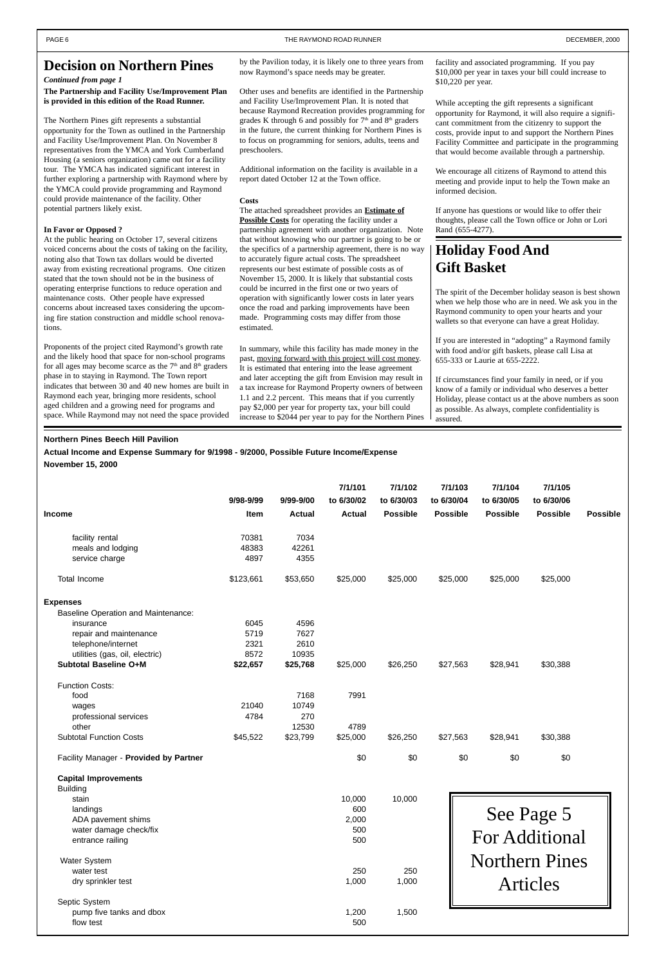### **Northern Pines Beech Hill Pavilion**

**Actual Income and Expense Summary for 9/1998 - 9/2000, Possible Future Income/Expense**

**November 15, 2000**

## **The Partnership and Facility Use/Improvement Plan is provided in this edition of the Road Runner.**

The Northern Pines gift represents a substantial opportunity for the Town as outlined in the Partnership and Facility Use/Improvement Plan. On November 8 representatives from the YMCA and York Cumberland Housing (a seniors organization) came out for a facility tour. The YMCA has indicated significant interest in further exploring a partnership with Raymond where by the YMCA could provide programming and Raymond could provide maintenance of the facility. Other potential partners likely exist.

#### **In Favor or Opposed ?**

At the public hearing on October 17, several citizens voiced concerns about the costs of taking on the facility, noting also that Town tax dollars would be diverted away from existing recreational programs. One citizen stated that the town should not be in the business of operating enterprise functions to reduce operation and maintenance costs. Other people have expressed concerns about increased taxes considering the upcoming fire station construction and middle school renovations.

Proponents of the project cited Raymond's growth rate and the likely hood that space for non-school programs for all ages may become scarce as the  $7<sup>th</sup>$  and  $8<sup>th</sup>$  graders phase in to staying in Raymond. The Town report indicates that between 30 and 40 new homes are built in Raymond each year, bringing more residents, school aged children and a growing need for programs and space. While Raymond may not need the space provided

by the Pavilion today, it is likely one to three years from now Raymond's space needs may be greater.

|                                            |           |               | 7/1/101       | 7/1/102         | 7/1/103         | 7/1/104                      | 7/1/105               |                 |
|--------------------------------------------|-----------|---------------|---------------|-----------------|-----------------|------------------------------|-----------------------|-----------------|
|                                            | 9/98-9/99 | 9/99-9/00     | to 6/30/02    | to 6/30/03      | to 6/30/04      | to 6/30/05                   | to 6/30/06            |                 |
| <b>Income</b>                              | Item      | <b>Actual</b> | <b>Actual</b> | <b>Possible</b> | <b>Possible</b> | <b>Possible</b>              | <b>Possible</b>       | <b>Possible</b> |
| facility rental                            | 70381     | 7034          |               |                 |                 |                              |                       |                 |
| meals and lodging                          | 48383     | 42261         |               |                 |                 |                              |                       |                 |
| service charge                             | 4897      | 4355          |               |                 |                 |                              |                       |                 |
| <b>Total Income</b>                        | \$123,661 | \$53,650      | \$25,000      | \$25,000        | \$25,000        | \$25,000                     | \$25,000              |                 |
| <b>Expenses</b>                            |           |               |               |                 |                 |                              |                       |                 |
| <b>Baseline Operation and Maintenance:</b> |           |               |               |                 |                 |                              |                       |                 |
| insurance                                  | 6045      | 4596          |               |                 |                 |                              |                       |                 |
| repair and maintenance                     | 5719      | 7627          |               |                 |                 |                              |                       |                 |
| telephone/internet                         | 2321      | 2610          |               |                 |                 |                              |                       |                 |
| utilities (gas, oil, electric)             | 8572      | 10935         |               |                 |                 |                              |                       |                 |
| <b>Subtotal Baseline O+M</b>               | \$22,657  | \$25,768      | \$25,000      | \$26,250        | \$27,563        | \$28,941                     | \$30,388              |                 |
| <b>Function Costs:</b>                     |           |               |               |                 |                 |                              |                       |                 |
| food                                       |           | 7168          | 7991          |                 |                 |                              |                       |                 |
| wages                                      | 21040     | 10749         |               |                 |                 |                              |                       |                 |
| professional services                      | 4784      | 270           |               |                 |                 |                              |                       |                 |
| other                                      |           | 12530         | 4789          |                 |                 |                              |                       |                 |
| <b>Subtotal Function Costs</b>             | \$45,522  | \$23,799      | \$25,000      | \$26,250        | \$27,563        | \$28,941                     | \$30,388              |                 |
| Facility Manager - Provided by Partner     |           |               | \$0           | \$0             | \$0             | \$0                          | \$0                   |                 |
| <b>Capital Improvements</b>                |           |               |               |                 |                 |                              |                       |                 |
| <b>Building</b>                            |           |               |               |                 |                 |                              |                       |                 |
| stain                                      |           |               | 10,000        | 10,000          |                 |                              |                       |                 |
| landings                                   |           |               | 600           |                 |                 |                              |                       |                 |
| ADA pavement shims                         |           |               | 2,000         |                 |                 |                              |                       |                 |
| water damage check/fix                     |           |               | 500           |                 |                 |                              |                       |                 |
| entrance railing                           |           |               | 500           |                 |                 | See Page 5<br>For Additional |                       |                 |
| <b>Water System</b>                        |           |               |               |                 |                 |                              | <b>Northern Pines</b> |                 |
| water test                                 |           |               | 250           | 250             |                 |                              |                       |                 |
| dry sprinkler test                         |           |               | 1,000         | 1,000           |                 | <b>Articles</b>              |                       |                 |
| Septic System                              |           |               |               |                 |                 |                              |                       |                 |
| pump five tanks and dbox                   |           |               | 1,200         | 1,500           |                 |                              |                       |                 |
| flow test                                  |           |               | 500           |                 |                 |                              |                       |                 |

Other uses and benefits are identified in the Partnership and Facility Use/Improvement Plan. It is noted that because Raymond Recreation provides programming for grades K through 6 and possibly for  $7<sup>th</sup>$  and  $8<sup>th</sup>$  graders in the future, the current thinking for Northern Pines is to focus on programming for seniors, adults, teens and preschoolers.

Additional information on the facility is available in a report dated October 12 at the Town office.

#### **Costs**

The attached spreadsheet provides an **Estimate of Possible Costs** for operating the facility under a partnership agreement with another organization. Note that without knowing who our partner is going to be or the specifics of a partnership agreement, there is no way to accurately figure actual costs. The spreadsheet represents our best estimate of possible costs as of November 15, 2000. It is likely that substantial costs could be incurred in the first one or two years of operation with significantly lower costs in later years once the road and parking improvements have been made. Programming costs may differ from those estimated.

In summary, while this facility has made money in the past, moving forward with this project will cost money. It is estimated that entering into the lease agreement and later accepting the gift from Envision may result in a tax increase for Raymond Property owners of between 1.1 and 2.2 percent. This means that if you currently pay \$2,000 per year for property tax, your bill could increase to \$2044 per year to pay for the Northern Pines facility and associated programming. If you pay \$10,000 per year in taxes your bill could increase to \$10,220 per year.

While accepting the gift represents a significant opportunity for Raymond, it will also require a significant commitment from the citizenry to support the costs, provide input to and support the Northern Pines Facility Committee and participate in the programming that would become available through a partnership.

We encourage all citizens of Raymond to attend this meeting and provide input to help the Town make an informed decision.

If anyone has questions or would like to offer their thoughts, please call the Town office or John or Lori Rand (655-4277).

## <span id="page-5-0"></span>**Decision on Northern Pines**

### *Continued from page 1*

# **Holiday Food And Gift Basket**

The spirit of the December holiday season is best shown when we help those who are in need. We ask you in the Raymond community to open your hearts and your wallets so that everyone can have a great Holiday.

If you are interested in "adopting" a Raymond family with food and/or gift baskets, please call Lisa at 655-333 or Laurie at 655-2222.

If circumstances find your family in need, or if you know of a family or individual who deserves a better Holiday, please contact us at the above numbers as soon as possible. As always, complete confidentiality is assured.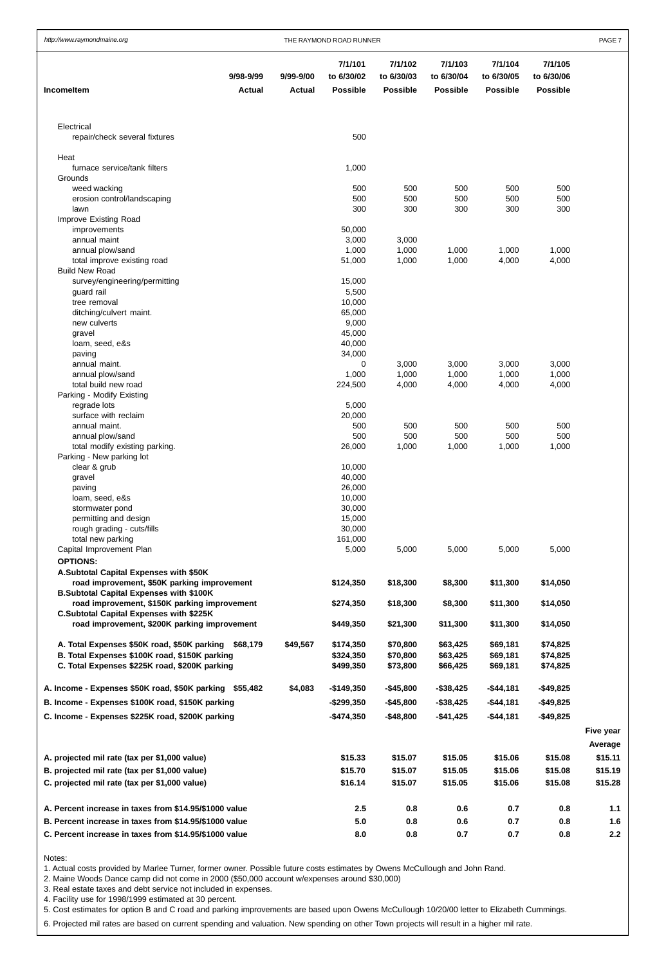| http://www.raymondmaine.org                                                                    | THE RAYMOND ROAD RUNNER    |                            |                                          |                                          |                                          |                                          | PAGE <sub>7</sub>                        |  |  |
|------------------------------------------------------------------------------------------------|----------------------------|----------------------------|------------------------------------------|------------------------------------------|------------------------------------------|------------------------------------------|------------------------------------------|--|--|
| <b>Incomeltem</b>                                                                              | 9/98-9/99<br><b>Actual</b> | 9/99-9/00<br><b>Actual</b> | 7/1/101<br>to 6/30/02<br><b>Possible</b> | 7/1/102<br>to 6/30/03<br><b>Possible</b> | 7/1/103<br>to 6/30/04<br><b>Possible</b> | 7/1/104<br>to 6/30/05<br><b>Possible</b> | 7/1/105<br>to 6/30/06<br><b>Possible</b> |  |  |
| Electrical<br>repair/check several fixtures                                                    |                            |                            | 500                                      |                                          |                                          |                                          |                                          |  |  |
|                                                                                                |                            |                            |                                          |                                          |                                          |                                          |                                          |  |  |
| Heat                                                                                           |                            |                            |                                          |                                          |                                          |                                          |                                          |  |  |
| furnace service/tank filters<br>Grounds                                                        |                            |                            | 1,000                                    |                                          |                                          |                                          |                                          |  |  |
| weed wacking                                                                                   |                            |                            | 500                                      | 500                                      | 500                                      | 500                                      | 500                                      |  |  |
| erosion control/landscaping                                                                    |                            |                            | 500                                      | 500                                      | 500                                      | 500                                      | 500                                      |  |  |
| lawn                                                                                           |                            |                            | 300                                      | 300                                      | 300                                      | 300                                      | 300                                      |  |  |
| Improve Existing Road                                                                          |                            |                            |                                          |                                          |                                          |                                          |                                          |  |  |
| improvements<br>annual maint                                                                   |                            |                            | 50,000                                   |                                          |                                          |                                          |                                          |  |  |
| annual plow/sand                                                                               |                            |                            | 3,000<br>1,000                           | 3,000<br>1,000                           | 1,000                                    | 1,000                                    | 1,000                                    |  |  |
| total improve existing road                                                                    |                            |                            | 51,000                                   | 1,000                                    | 1,000                                    | 4,000                                    | 4,000                                    |  |  |
| <b>Build New Road</b>                                                                          |                            |                            |                                          |                                          |                                          |                                          |                                          |  |  |
| survey/engineering/permitting                                                                  |                            |                            | 15,000                                   |                                          |                                          |                                          |                                          |  |  |
| guard rail                                                                                     |                            |                            | 5,500                                    |                                          |                                          |                                          |                                          |  |  |
| tree removal<br>ditching/culvert maint.                                                        |                            |                            | 10,000<br>65,000                         |                                          |                                          |                                          |                                          |  |  |
| new culverts                                                                                   |                            |                            | 9,000                                    |                                          |                                          |                                          |                                          |  |  |
| gravel                                                                                         |                            |                            | 45,000                                   |                                          |                                          |                                          |                                          |  |  |
| loam, seed, e&s                                                                                |                            |                            | 40,000                                   |                                          |                                          |                                          |                                          |  |  |
| paving                                                                                         |                            |                            | 34,000                                   |                                          |                                          |                                          |                                          |  |  |
| annual maint.                                                                                  |                            |                            | 0                                        | 3,000                                    | 3,000                                    | 3,000                                    | 3,000                                    |  |  |
| annual plow/sand<br>total build new road                                                       |                            |                            | 1,000                                    | 1,000                                    | 1,000                                    | 1,000                                    | 1,000                                    |  |  |
| Parking - Modify Existing                                                                      |                            |                            | 224,500                                  | 4,000                                    | 4,000                                    | 4,000                                    | 4,000                                    |  |  |
| regrade lots                                                                                   |                            |                            | 5,000                                    |                                          |                                          |                                          |                                          |  |  |
| surface with reclaim                                                                           |                            |                            | 20,000                                   |                                          |                                          |                                          |                                          |  |  |
| annual maint.                                                                                  |                            |                            | 500                                      | 500                                      | 500                                      | 500                                      | 500                                      |  |  |
| annual plow/sand                                                                               |                            |                            | 500                                      | 500                                      | 500                                      | 500                                      | 500                                      |  |  |
| total modify existing parking.                                                                 |                            |                            | 26,000                                   | 1,000                                    | 1,000                                    | 1,000                                    | 1,000                                    |  |  |
| Parking - New parking lot<br>clear & grub                                                      |                            |                            | 10,000                                   |                                          |                                          |                                          |                                          |  |  |
| gravel                                                                                         |                            |                            | 40,000                                   |                                          |                                          |                                          |                                          |  |  |
| paving                                                                                         |                            |                            | 26,000                                   |                                          |                                          |                                          |                                          |  |  |
| loam, seed, e&s                                                                                |                            |                            | 10,000                                   |                                          |                                          |                                          |                                          |  |  |
| stormwater pond                                                                                |                            |                            | 30,000                                   |                                          |                                          |                                          |                                          |  |  |
| permitting and design                                                                          |                            |                            | 15,000                                   |                                          |                                          |                                          |                                          |  |  |
| rough grading - cuts/fills                                                                     |                            |                            | 30,000                                   |                                          |                                          |                                          |                                          |  |  |
| total new parking<br>Capital Improvement Plan                                                  |                            |                            | 161,000<br>5,000                         | 5,000                                    | 5,000                                    | 5,000                                    | 5,000                                    |  |  |
| <b>OPTIONS:</b>                                                                                |                            |                            |                                          |                                          |                                          |                                          |                                          |  |  |
| A.Subtotal Capital Expenses with \$50K                                                         |                            |                            |                                          |                                          |                                          |                                          |                                          |  |  |
| road improvement, \$50K parking improvement<br><b>B.Subtotal Capital Expenses with \$100K</b>  |                            |                            | \$124,350                                | \$18,300                                 | \$8,300                                  | \$11,300                                 | \$14,050                                 |  |  |
| road improvement, \$150K parking improvement                                                   |                            |                            | \$274,350                                | \$18,300                                 | \$8,300                                  | \$11,300                                 | \$14,050                                 |  |  |
| <b>C.Subtotal Capital Expenses with \$225K</b><br>road improvement, \$200K parking improvement |                            |                            | \$449,350                                | \$21,300                                 | \$11,300                                 | \$11,300                                 | \$14,050                                 |  |  |
| A. Total Expenses \$50K road, \$50K parking \$68,179                                           |                            | \$49,567                   | \$174,350                                | \$70,800                                 | \$63,425                                 | \$69,181                                 | \$74,825                                 |  |  |
| B. Total Expenses \$100K road, \$150K parking                                                  |                            |                            | \$324,350                                | \$70,800                                 | \$63,425                                 | \$69,181                                 | \$74,825                                 |  |  |
| C. Total Expenses \$225K road, \$200K parking                                                  |                            |                            | \$499,350                                | \$73,800                                 | \$66,425                                 | \$69,181                                 | \$74,825                                 |  |  |
| A. Income - Expenses \$50K road, \$50K parking \$55,482                                        |                            | \$4,083                    | $-$149,350$                              | $-$45,800$                               | $-$ \$38,425                             | $-$ \$44,181                             | $-$49,825$                               |  |  |
| B. Income - Expenses \$100K road, \$150K parking                                               |                            |                            | $-$ \$299,350                            | $-$45,800$                               | $-$ \$38,425                             | $-$44,181$                               | $-$ \$49,825                             |  |  |
| C. Income - Expenses \$225K road, \$200K parking                                               |                            |                            | $-$474,350$                              | $-$ \$48,800                             | $-$ \$41,425                             | $-$44,181$                               | $-$49,825$                               |  |  |

|                                                        |         |         |         |         |         | Five year |
|--------------------------------------------------------|---------|---------|---------|---------|---------|-----------|
|                                                        |         |         |         |         |         | Average   |
| A. projected mil rate (tax per \$1,000 value)          | \$15.33 | \$15.07 | \$15.05 | \$15.06 | \$15.08 | \$15.11   |
| B. projected mil rate (tax per \$1,000 value)          | \$15.70 | \$15.07 | \$15.05 | \$15.06 | \$15.08 | \$15.19   |
| C. projected mil rate (tax per \$1,000 value)          | \$16.14 | \$15.07 | \$15.05 | \$15.06 | \$15.08 | \$15.28   |
| A. Percent increase in taxes from \$14.95/\$1000 value | $2.5\,$ | 0.8     | 0.6     | 0.7     | 0.8     | 1.1       |
| B. Percent increase in taxes from \$14.95/\$1000 value | 5.0     | 0.8     | 0.6     | 0.7     | 0.8     | 1.6       |
| C. Percent increase in taxes from \$14.95/\$1000 value | 8.0     | 0.8     | 0.7     | 0.7     | 0.8     | 2.2       |

#### Notes:

1. Actual costs provided by Marlee Turner, former owner. Possible future costs estimates by Owens McCullough and John Rand.

2. Maine Woods Dance camp did not come in 2000 (\$50,000 account w/expenses around \$30,000)

3. Real estate taxes and debt service not included in expenses.

4. Facility use for 1998/1999 estimated at 30 percent.

5. Cost estimates for option B and C road and parking improvements are based upon Owens McCullough 10/20/00 letter to Elizabeth Cummings.

6. Projected mil rates are based on current spending and valuation. New spending on other Town projects will result in a higher mil rate.